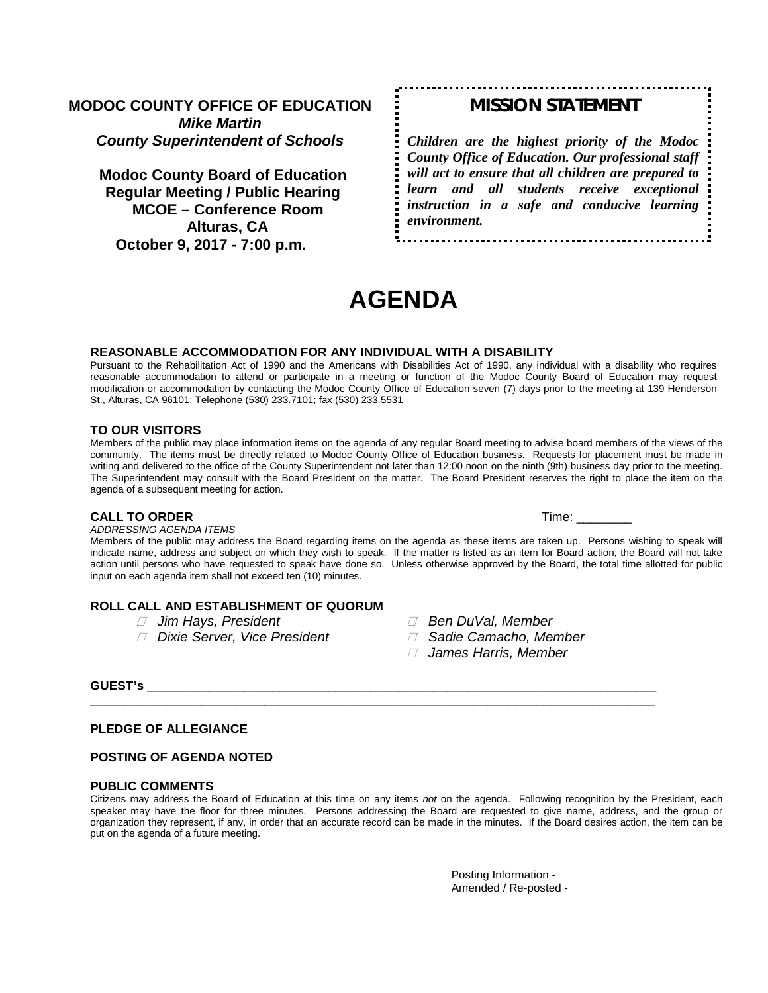## **MODOC COUNTY OFFICE OF EDUCATION** *Mike Martin County Superintendent of Schools*

**Modoc County Board of Education Regular Meeting / Public Hearing MCOE – Conference Room Alturas, CA October 9, 2017 - 7:00 p.m.**

# *MISSION STATEMENT*

*Children are the highest priority of the Modoc County Office of Education. Our professional staff will act to ensure that all children are prepared to learn and all students receive exceptional instruction in a safe and conducive learning environment.*

**AGENDA**

#### **REASONABLE ACCOMMODATION FOR ANY INDIVIDUAL WITH A DISABILITY**

Pursuant to the Rehabilitation Act of 1990 and the Americans with Disabilities Act of 1990, any individual with a disability who requires reasonable accommodation to attend or participate in a meeting or function of the Modoc County Board of Education may request modification or accommodation by contacting the Modoc County Office of Education seven (7) days prior to the meeting at 139 Henderson St., Alturas, CA 96101; Telephone (530) 233.7101; fax (530) 233.5531

#### **TO OUR VISITORS**

Members of the public may place information items on the agenda of any regular Board meeting to advise board members of the views of the community. The items must be directly related to Modoc County Office of Education business. Requests for placement must be made in writing and delivered to the office of the County Superintendent not later than 12:00 noon on the ninth (9th) business day prior to the meeting. The Superintendent may consult with the Board President on the matter. The Board President reserves the right to place the item on the agenda of a subsequent meeting for action.

#### **CALL TO ORDER Time:**  $\blacksquare$

*ADDRESSING AGENDA ITEMS*

Members of the public may address the Board regarding items on the agenda as these items are taken up. Persons wishing to speak will indicate name, address and subject on which they wish to speak. If the matter is listed as an item for Board action, the Board will not take action until persons who have requested to speak have done so. Unless otherwise approved by the Board, the total time allotted for public input on each agenda item shall not exceed ten (10) minutes.

#### **ROLL CALL AND ESTABLISHMENT OF QUORUM**

- 
- *Dixie Server, Vice President Sadie Camacho, Member*
- *Jim Hays, President Ben DuVal, Member*
	-
	- *James Harris, Member*

#### **GUEST's** \_\_\_\_\_\_\_\_\_\_\_\_\_\_\_\_\_\_\_\_\_\_\_\_\_\_\_\_\_\_\_\_\_\_\_\_\_\_\_\_\_\_\_\_\_\_\_\_\_\_\_\_\_\_\_\_\_\_\_\_\_\_\_\_\_\_\_\_\_\_\_\_\_

#### **PLEDGE OF ALLEGIANCE**

#### **POSTING OF AGENDA NOTED**

#### **PUBLIC COMMENTS**

Citizens may address the Board of Education at this time on any items *not* on the agenda. Following recognition by the President, each speaker may have the floor for three minutes. Persons addressing the Board are requested to give name, address, and the group or organization they represent, if any, in order that an accurate record can be made in the minutes. If the Board desires action, the item can be put on the agenda of a future meeting.

\_\_\_\_\_\_\_\_\_\_\_\_\_\_\_\_\_\_\_\_\_\_\_\_\_\_\_\_\_\_\_\_\_\_\_\_\_\_\_\_\_\_\_\_\_\_\_\_\_\_\_\_\_\_\_\_\_\_\_\_\_\_\_\_\_\_\_\_\_\_\_\_\_\_\_\_\_\_\_\_\_

Posting Information - Amended / Re-posted -